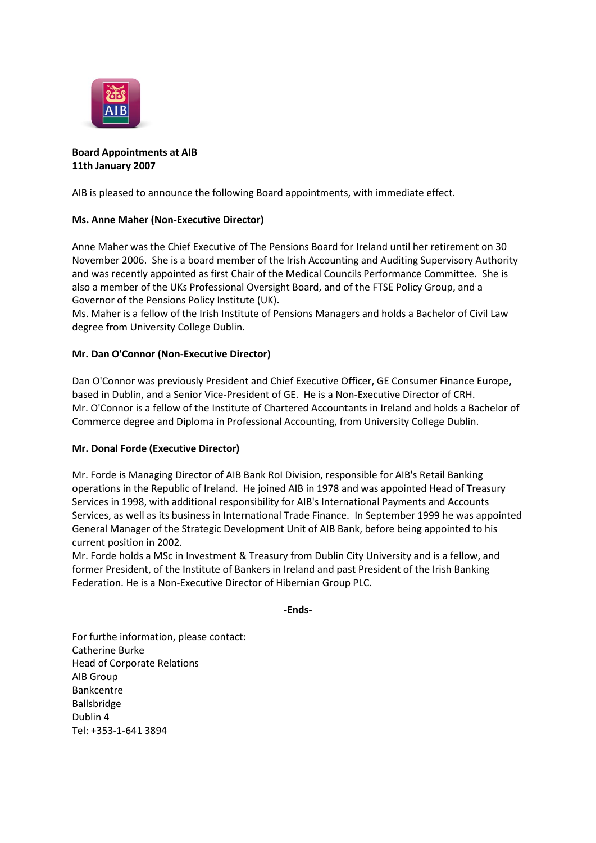

# **Board Appointments at AIB 11th January 2007**

AIB is pleased to announce the following Board appointments, with immediate effect.

# **Ms. Anne Maher (Non-Executive Director)**

Anne Maher was the Chief Executive of The Pensions Board for Ireland until her retirement on 30 November 2006. She is a board member of the Irish Accounting and Auditing Supervisory Authority and was recently appointed as first Chair of the Medical Councils Performance Committee. She is also a member of the UKs Professional Oversight Board, and of the FTSE Policy Group, and a Governor of the Pensions Policy Institute (UK).

Ms. Maher is a fellow of the Irish Institute of Pensions Managers and holds a Bachelor of Civil Law degree from University College Dublin.

## **Mr. Dan O'Connor (Non-Executive Director)**

Dan O'Connor was previously President and Chief Executive Officer, GE Consumer Finance Europe, based in Dublin, and a Senior Vice-President of GE. He is a Non-Executive Director of CRH. Mr. O'Connor is a fellow of the Institute of Chartered Accountants in Ireland and holds a Bachelor of Commerce degree and Diploma in Professional Accounting, from University College Dublin.

### **Mr. Donal Forde (Executive Director)**

Mr. Forde is Managing Director of AIB Bank RoI Division, responsible for AIB's Retail Banking operations in the Republic of Ireland. He joined AIB in 1978 and was appointed Head of Treasury Services in 1998, with additional responsibility for AIB's International Payments and Accounts Services, as well as its business in International Trade Finance. In September 1999 he was appointed General Manager of the Strategic Development Unit of AIB Bank, before being appointed to his current position in 2002.

Mr. Forde holds a MSc in Investment & Treasury from Dublin City University and is a fellow, and former President, of the Institute of Bankers in Ireland and past President of the Irish Banking Federation. He is a Non-Executive Director of Hibernian Group PLC.

#### **-Ends-**

For furthe information, please contact: Catherine Burke Head of Corporate Relations AIB Group Bankcentre Ballsbridge Dublin 4 Tel: +353-1-641 3894